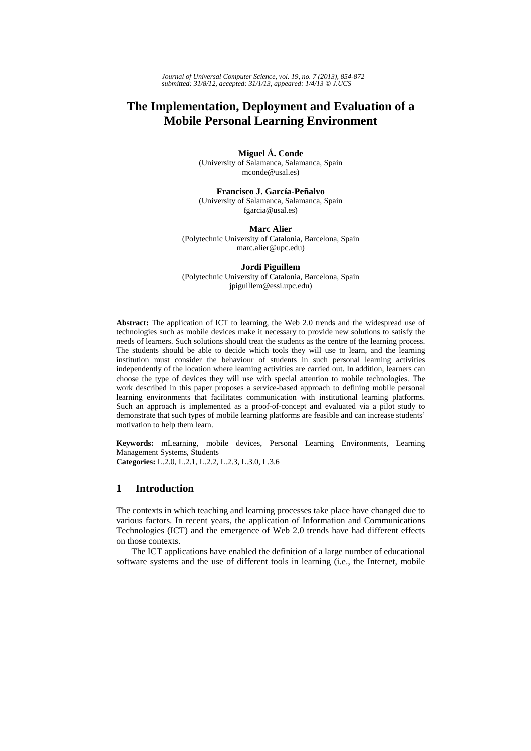# **The Implementation, Deployment and Evaluation of a Mobile Personal Learning Environment**

**Miguel Á. Conde**  (University of Salamanca, Salamanca, Spain mconde@usal.es)

**Francisco J. García-Peñalvo** (University of Salamanca, Salamanca, Spain fgarcia@usal.es)

**Marc Alier** (Polytechnic University of Catalonia, Barcelona, Spain marc.alier@upc.edu)

#### **Jordi Piguillem**

(Polytechnic University of Catalonia, Barcelona, Spain jpiguillem@essi.upc.edu)

**Abstract:** The application of ICT to learning, the Web 2.0 trends and the widespread use of technologies such as mobile devices make it necessary to provide new solutions to satisfy the needs of learners. Such solutions should treat the students as the centre of the learning process. The students should be able to decide which tools they will use to learn, and the learning institution must consider the behaviour of students in such personal learning activities independently of the location where learning activities are carried out. In addition, learners can choose the type of devices they will use with special attention to mobile technologies. The work described in this paper proposes a service-based approach to defining mobile personal learning environments that facilitates communication with institutional learning platforms. Such an approach is implemented as a proof-of-concept and evaluated via a pilot study to demonstrate that such types of mobile learning platforms are feasible and can increase students' motivation to help them learn.

**Keywords:** mLearning, mobile devices, Personal Learning Environments, Learning Management Systems, Students **Categories:** L.2.0, L.2.1, L.2.2, L.2.3, L.3.0, L.3.6

### **1 Introduction**

The contexts in which teaching and learning processes take place have changed due to various factors. In recent years, the application of Information and Communications Technologies (ICT) and the emergence of Web 2.0 trends have had different effects on those contexts.

The ICT applications have enabled the definition of a large number of educational software systems and the use of different tools in learning (i.e., the Internet, mobile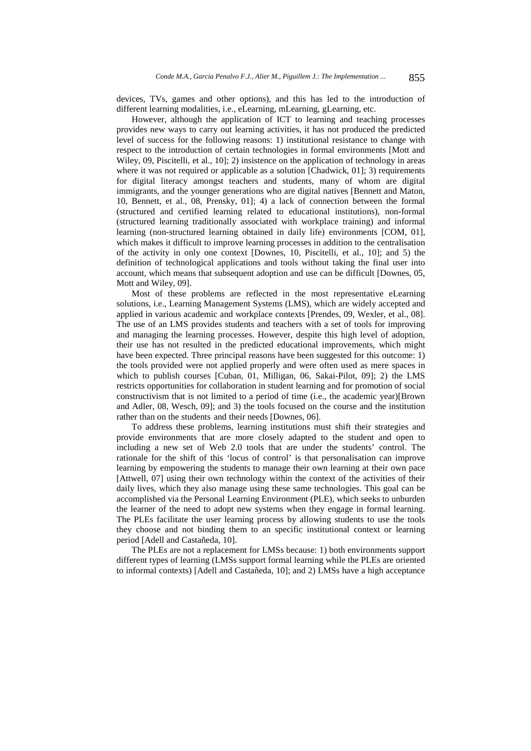devices, TVs, games and other options), and this has led to the introduction of different learning modalities, i.e., eLearning, mLearning, gLearning, etc.

However, although the application of ICT to learning and teaching processes provides new ways to carry out learning activities, it has not produced the predicted level of success for the following reasons: 1) institutional resistance to change with respect to the introduction of certain technologies in formal environments [Mott and Wiley, 09, Piscitelli, et al., 10]; 2) insistence on the application of technology in areas where it was not required or applicable as a solution [Chadwick, 01]; 3) requirements for digital literacy amongst teachers and students, many of whom are digital immigrants, and the younger generations who are digital natives [Bennett and Maton, 10, Bennett, et al., 08, Prensky, 01]; 4) a lack of connection between the formal (structured and certified learning related to educational institutions), non-formal (structured learning traditionally associated with workplace training) and informal learning (non-structured learning obtained in daily life) environments [COM, 01], which makes it difficult to improve learning processes in addition to the centralisation of the activity in only one context [Downes, 10, Piscitelli, et al., 10]; and 5) the definition of technological applications and tools without taking the final user into account, which means that subsequent adoption and use can be difficult [Downes, 05, Mott and Wiley, 09].

Most of these problems are reflected in the most representative eLearning solutions, i.e., Learning Management Systems (LMS), which are widely accepted and applied in various academic and workplace contexts [Prendes, 09, Wexler, et al., 08]. The use of an LMS provides students and teachers with a set of tools for improving and managing the learning processes. However, despite this high level of adoption, their use has not resulted in the predicted educational improvements, which might have been expected. Three principal reasons have been suggested for this outcome: 1) the tools provided were not applied properly and were often used as mere spaces in which to publish courses [Cuban, 01, Milligan, 06, Sakai-Pilot, 09]; 2) the LMS restricts opportunities for collaboration in student learning and for promotion of social constructivism that is not limited to a period of time (i.e., the academic year)[Brown and Adler, 08, Wesch, 09]; and 3) the tools focused on the course and the institution rather than on the students and their needs [Downes, 06].

To address these problems, learning institutions must shift their strategies and provide environments that are more closely adapted to the student and open to including a new set of Web 2.0 tools that are under the students' control. The rationale for the shift of this 'locus of control' is that personalisation can improve learning by empowering the students to manage their own learning at their own pace [Attwell, 07] using their own technology within the context of the activities of their daily lives, which they also manage using these same technologies. This goal can be accomplished via the Personal Learning Environment (PLE), which seeks to unburden the learner of the need to adopt new systems when they engage in formal learning. The PLEs facilitate the user learning process by allowing students to use the tools they choose and not binding them to an specific institutional context or learning period [Adell and Castañeda, 10].

The PLEs are not a replacement for LMSs because: 1) both environments support different types of learning (LMSs support formal learning while the PLEs are oriented to informal contexts) [Adell and Castañeda, 10]; and 2) LMSs have a high acceptance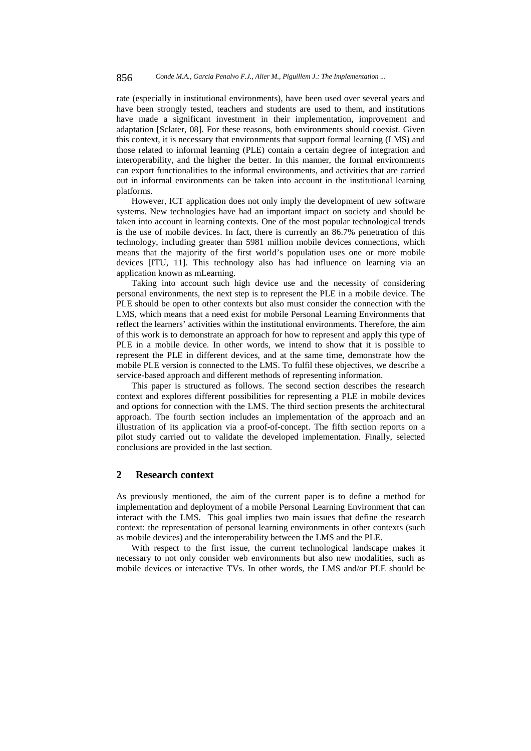rate (especially in institutional environments), have been used over several years and have been strongly tested, teachers and students are used to them, and institutions have made a significant investment in their implementation, improvement and adaptation [Sclater, 08]. For these reasons, both environments should coexist. Given this context, it is necessary that environments that support formal learning (LMS) and those related to informal learning (PLE) contain a certain degree of integration and interoperability, and the higher the better. In this manner, the formal environments can export functionalities to the informal environments, and activities that are carried out in informal environments can be taken into account in the institutional learning platforms.

However, ICT application does not only imply the development of new software systems. New technologies have had an important impact on society and should be taken into account in learning contexts. One of the most popular technological trends is the use of mobile devices. In fact, there is currently an 86.7% penetration of this technology, including greater than 5981 million mobile devices connections, which means that the majority of the first world's population uses one or more mobile devices [ITU, 11]. This technology also has had influence on learning via an application known as mLearning.

Taking into account such high device use and the necessity of considering personal environments, the next step is to represent the PLE in a mobile device. The PLE should be open to other contexts but also must consider the connection with the LMS, which means that a need exist for mobile Personal Learning Environments that reflect the learners' activities within the institutional environments. Therefore, the aim of this work is to demonstrate an approach for how to represent and apply this type of PLE in a mobile device. In other words, we intend to show that it is possible to represent the PLE in different devices, and at the same time, demonstrate how the mobile PLE version is connected to the LMS. To fulfil these objectives, we describe a service-based approach and different methods of representing information.

This paper is structured as follows. The second section describes the research context and explores different possibilities for representing a PLE in mobile devices and options for connection with the LMS. The third section presents the architectural approach. The fourth section includes an implementation of the approach and an illustration of its application via a proof-of-concept. The fifth section reports on a pilot study carried out to validate the developed implementation. Finally, selected conclusions are provided in the last section.

### **2 Research context**

As previously mentioned, the aim of the current paper is to define a method for implementation and deployment of a mobile Personal Learning Environment that can interact with the LMS. This goal implies two main issues that define the research context: the representation of personal learning environments in other contexts (such as mobile devices) and the interoperability between the LMS and the PLE.

With respect to the first issue, the current technological landscape makes it necessary to not only consider web environments but also new modalities, such as mobile devices or interactive TVs. In other words, the LMS and/or PLE should be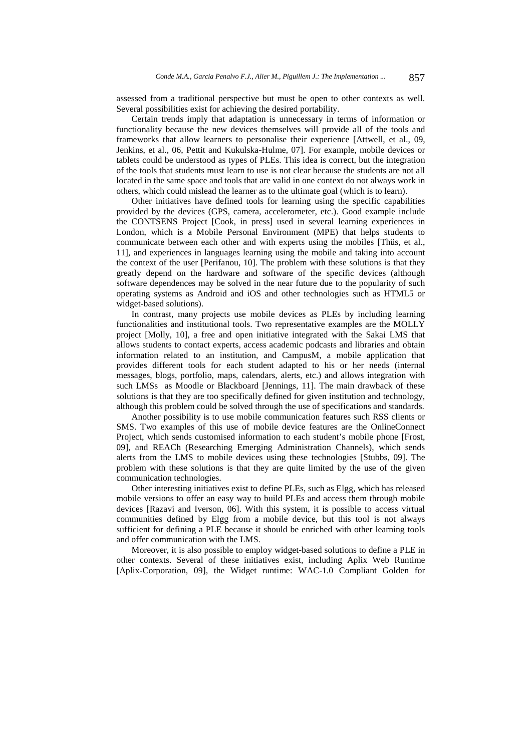assessed from a traditional perspective but must be open to other contexts as well. Several possibilities exist for achieving the desired portability.

Certain trends imply that adaptation is unnecessary in terms of information or functionality because the new devices themselves will provide all of the tools and frameworks that allow learners to personalise their experience [Attwell, et al., 09, Jenkins, et al., 06, Pettit and Kukulska-Hulme, 07]. For example, mobile devices or tablets could be understood as types of PLEs. This idea is correct, but the integration of the tools that students must learn to use is not clear because the students are not all located in the same space and tools that are valid in one context do not always work in others, which could mislead the learner as to the ultimate goal (which is to learn).

Other initiatives have defined tools for learning using the specific capabilities provided by the devices (GPS, camera, accelerometer, etc.). Good example include the CONTSENS Project [Cook, in press] used in several learning experiences in London, which is a Mobile Personal Environment (MPE) that helps students to communicate between each other and with experts using the mobiles [Thüs, et al., 11], and experiences in languages learning using the mobile and taking into account the context of the user [Perifanou, 10]. The problem with these solutions is that they greatly depend on the hardware and software of the specific devices (although software dependences may be solved in the near future due to the popularity of such operating systems as Android and iOS and other technologies such as HTML5 or widget-based solutions).

In contrast, many projects use mobile devices as PLEs by including learning functionalities and institutional tools. Two representative examples are the MOLLY project [Molly, 10], a free and open initiative integrated with the Sakai LMS that allows students to contact experts, access academic podcasts and libraries and obtain information related to an institution, and CampusM, a mobile application that provides different tools for each student adapted to his or her needs (internal messages, blogs, portfolio, maps, calendars, alerts, etc.) and allows integration with such LMSs as Moodle or Blackboard [Jennings, 11]. The main drawback of these solutions is that they are too specifically defined for given institution and technology, although this problem could be solved through the use of specifications and standards.

Another possibility is to use mobile communication features such RSS clients or SMS. Two examples of this use of mobile device features are the OnlineConnect Project, which sends customised information to each student's mobile phone [Frost, 09], and REACh (Researching Emerging Administration Channels), which sends alerts from the LMS to mobile devices using these technologies [Stubbs, 09]. The problem with these solutions is that they are quite limited by the use of the given communication technologies.

Other interesting initiatives exist to define PLEs, such as Elgg, which has released mobile versions to offer an easy way to build PLEs and access them through mobile devices [Razavi and Iverson, 06]. With this system, it is possible to access virtual communities defined by Elgg from a mobile device, but this tool is not always sufficient for defining a PLE because it should be enriched with other learning tools and offer communication with the LMS.

Moreover, it is also possible to employ widget-based solutions to define a PLE in other contexts. Several of these initiatives exist, including Aplix Web Runtime [Aplix-Corporation, 09], the Widget runtime: WAC-1.0 Compliant Golden for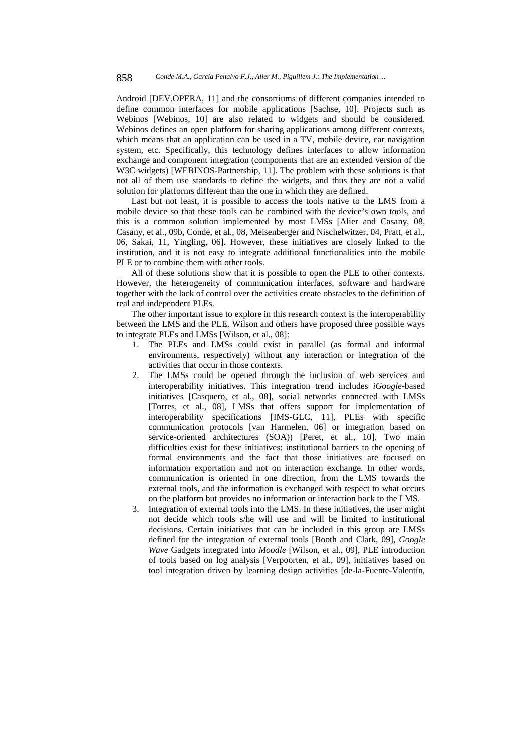Android [DEV.OPERA, 11] and the consortiums of different companies intended to define common interfaces for mobile applications [Sachse, 10]. Projects such as Webinos [Webinos, 10] are also related to widgets and should be considered. Webinos defines an open platform for sharing applications among different contexts, which means that an application can be used in a TV, mobile device, car navigation system, etc. Specifically, this technology defines interfaces to allow information exchange and component integration (components that are an extended version of the W3C widgets) [WEBINOS-Partnership, 11]. The problem with these solutions is that not all of them use standards to define the widgets, and thus they are not a valid solution for platforms different than the one in which they are defined.

Last but not least, it is possible to access the tools native to the LMS from a mobile device so that these tools can be combined with the device's own tools, and this is a common solution implemented by most LMSs [Alier and Casany, 08, Casany, et al., 09b, Conde, et al., 08, Meisenberger and Nischelwitzer, 04, Pratt, et al., 06, Sakai, 11, Yingling, 06]. However, these initiatives are closely linked to the institution, and it is not easy to integrate additional functionalities into the mobile PLE or to combine them with other tools.

All of these solutions show that it is possible to open the PLE to other contexts. However, the heterogeneity of communication interfaces, software and hardware together with the lack of control over the activities create obstacles to the definition of real and independent PLEs.

The other important issue to explore in this research context is the interoperability between the LMS and the PLE. Wilson and others have proposed three possible ways to integrate PLEs and LMSs [Wilson, et al., 08]:

- 1. The PLEs and LMSs could exist in parallel (as formal and informal environments, respectively) without any interaction or integration of the activities that occur in those contexts.
- 2. The LMSs could be opened through the inclusion of web services and interoperability initiatives. This integration trend includes *iGoogle*-based initiatives [Casquero, et al., 08], social networks connected with LMSs [Torres, et al., 08], LMSs that offers support for implementation of interoperability specifications [IMS-GLC, 11], PLEs with specific communication protocols [van Harmelen, 06] or integration based on service-oriented architectures (SOA)) [Peret, et al., 10]. Two main difficulties exist for these initiatives: institutional barriers to the opening of formal environments and the fact that those initiatives are focused on information exportation and not on interaction exchange. In other words, communication is oriented in one direction, from the LMS towards the external tools, and the information is exchanged with respect to what occurs on the platform but provides no information or interaction back to the LMS.
- 3. Integration of external tools into the LMS. In these initiatives, the user might not decide which tools s/he will use and will be limited to institutional decisions. Certain initiatives that can be included in this group are LMSs defined for the integration of external tools [Booth and Clark, 09], *Google Wave* Gadgets integrated into *Moodle* [Wilson, et al., 09], PLE introduction of tools based on log analysis [Verpoorten, et al., 09], initiatives based on tool integration driven by learning design activities [de-la-Fuente-Valentín,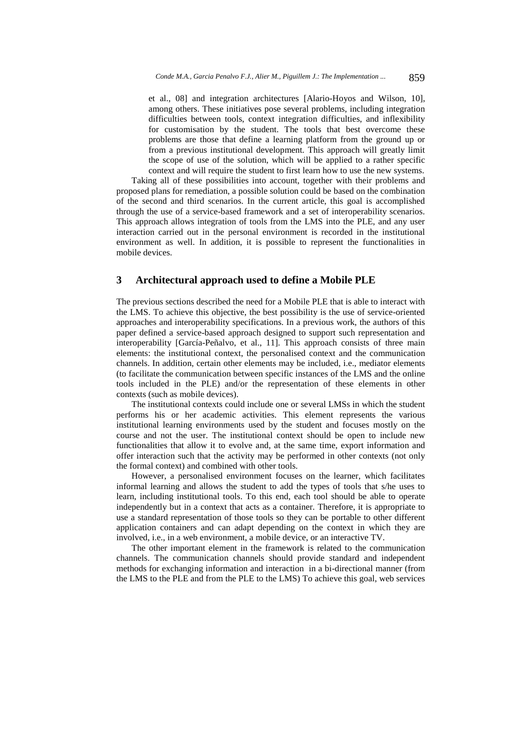et al., 08] and integration architectures [Alario-Hoyos and Wilson, 10], among others. These initiatives pose several problems, including integration difficulties between tools, context integration difficulties, and inflexibility for customisation by the student. The tools that best overcome these problems are those that define a learning platform from the ground up or from a previous institutional development. This approach will greatly limit the scope of use of the solution, which will be applied to a rather specific context and will require the student to first learn how to use the new systems.

Taking all of these possibilities into account, together with their problems and proposed plans for remediation, a possible solution could be based on the combination of the second and third scenarios. In the current article, this goal is accomplished through the use of a service-based framework and a set of interoperability scenarios. This approach allows integration of tools from the LMS into the PLE, and any user interaction carried out in the personal environment is recorded in the institutional environment as well. In addition, it is possible to represent the functionalities in mobile devices.

### **3 Architectural approach used to define a Mobile PLE**

The previous sections described the need for a Mobile PLE that is able to interact with the LMS. To achieve this objective, the best possibility is the use of service-oriented approaches and interoperability specifications. In a previous work, the authors of this paper defined a service-based approach designed to support such representation and interoperability [García-Peñalvo, et al., 11]. This approach consists of three main elements: the institutional context, the personalised context and the communication channels. In addition, certain other elements may be included, i.e., mediator elements (to facilitate the communication between specific instances of the LMS and the online tools included in the PLE) and/or the representation of these elements in other contexts (such as mobile devices).

The institutional contexts could include one or several LMSs in which the student performs his or her academic activities. This element represents the various institutional learning environments used by the student and focuses mostly on the course and not the user. The institutional context should be open to include new functionalities that allow it to evolve and, at the same time, export information and offer interaction such that the activity may be performed in other contexts (not only the formal context) and combined with other tools.

However, a personalised environment focuses on the learner, which facilitates informal learning and allows the student to add the types of tools that s/he uses to learn, including institutional tools. To this end, each tool should be able to operate independently but in a context that acts as a container. Therefore, it is appropriate to use a standard representation of those tools so they can be portable to other different application containers and can adapt depending on the context in which they are involved, i.e., in a web environment, a mobile device, or an interactive TV.

The other important element in the framework is related to the communication channels. The communication channels should provide standard and independent methods for exchanging information and interaction in a bi-directional manner (from the LMS to the PLE and from the PLE to the LMS) To achieve this goal, web services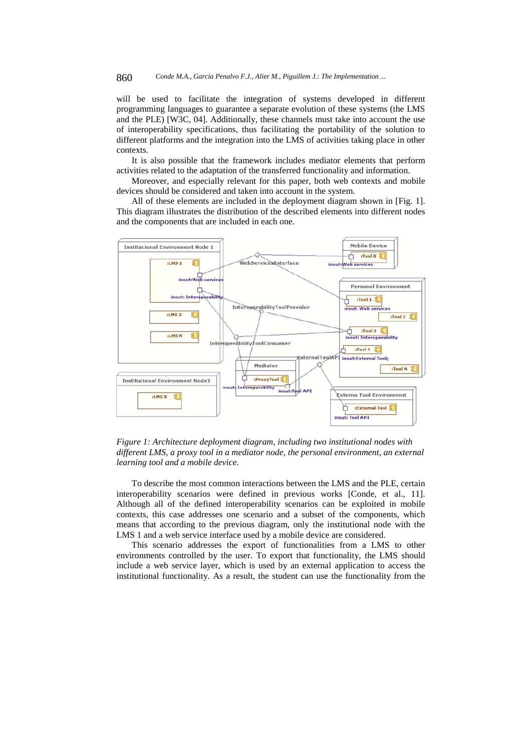will be used to facilitate the integration of systems developed in different programming languages to guarantee a separate evolution of these systems (the LMS and the PLE) [W3C, 04]. Additionally, these channels must take into account the use of interoperability specifications, thus facilitating the portability of the solution to different platforms and the integration into the LMS of activities taking place in other contexts.

It is also possible that the framework includes mediator elements that perform activities related to the adaptation of the transferred functionality and information.

Moreover, and especially relevant for this paper, both web contexts and mobile devices should be considered and taken into account in the system.

All of these elements are included in the deployment diagram shown in [Fig. 1]. This diagram illustrates the distribution of the described elements into different nodes and the components that are included in each one.



*Figure 1: Architecture deployment diagram, including two institutional nodes with different LMS, a proxy tool in a mediator node, the personal environment, an external learning tool and a mobile device.* 

To describe the most common interactions between the LMS and the PLE, certain interoperability scenarios were defined in previous works [Conde, et al., 11]. Although all of the defined interoperability scenarios can be exploited in mobile contexts, this case addresses one scenario and a subset of the components, which means that according to the previous diagram, only the institutional node with the LMS 1 and a web service interface used by a mobile device are considered.

This scenario addresses the export of functionalities from a LMS to other environments controlled by the user. To export that functionality, the LMS should include a web service layer, which is used by an external application to access the institutional functionality. As a result, the student can use the functionality from the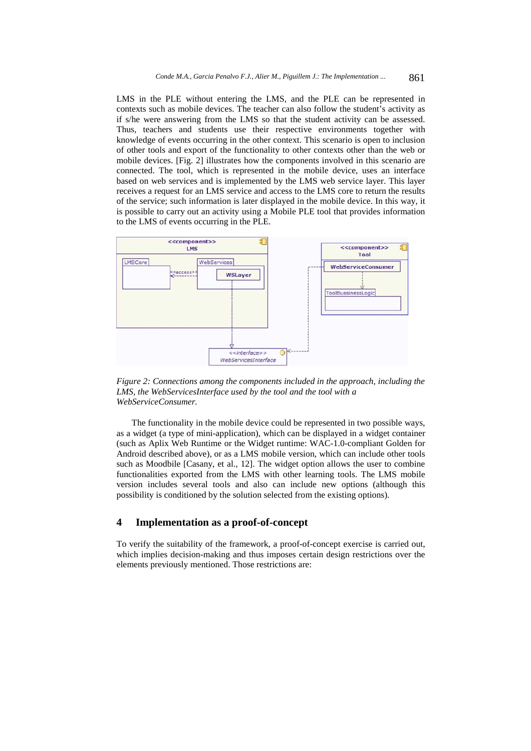LMS in the PLE without entering the LMS, and the PLE can be represented in contexts such as mobile devices. The teacher can also follow the student's activity as if s/he were answering from the LMS so that the student activity can be assessed. Thus, teachers and students use their respective environments together with knowledge of events occurring in the other context. This scenario is open to inclusion of other tools and export of the functionality to other contexts other than the web or mobile devices. [Fig. 2] illustrates how the components involved in this scenario are connected. The tool, which is represented in the mobile device, uses an interface based on web services and is implemented by the LMS web service layer. This layer receives a request for an LMS service and access to the LMS core to return the results of the service; such information is later displayed in the mobile device. In this way, it is possible to carry out an activity using a Mobile PLE tool that provides information to the LMS of events occurring in the PLE.



*Figure 2: Connections among the components included in the approach, including the LMS, the WebServicesInterface used by the tool and the tool with a WebServiceConsumer.* 

The functionality in the mobile device could be represented in two possible ways, as a widget (a type of mini-application), which can be displayed in a widget container (such as Aplix Web Runtime or the Widget runtime: WAC-1.0-compliant Golden for Android described above), or as a LMS mobile version, which can include other tools such as Moodbile [Casany, et al., 12]. The widget option allows the user to combine functionalities exported from the LMS with other learning tools. The LMS mobile version includes several tools and also can include new options (although this possibility is conditioned by the solution selected from the existing options).

## **4 Implementation as a proof-of-concept**

To verify the suitability of the framework, a proof-of-concept exercise is carried out, which implies decision-making and thus imposes certain design restrictions over the elements previously mentioned. Those restrictions are: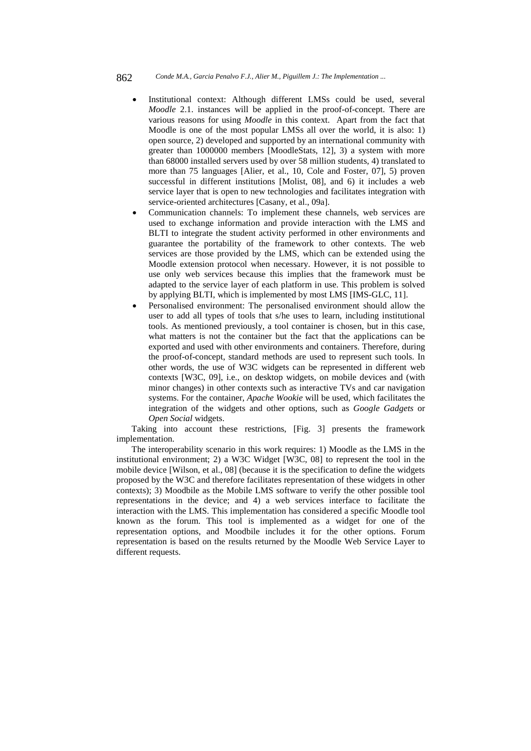- Institutional context: Although different LMSs could be used, several *Moodle* 2.1. instances will be applied in the proof-of-concept. There are various reasons for using *Moodle* in this context. Apart from the fact that Moodle is one of the most popular LMSs all over the world, it is also: 1) open source, 2) developed and supported by an international community with greater than 1000000 members [MoodleStats, 12], 3) a system with more than 68000 installed servers used by over 58 million students, 4) translated to more than 75 languages [Alier, et al., 10, Cole and Foster, 07], 5) proven successful in different institutions [Molist, 08], and 6) it includes a web service layer that is open to new technologies and facilitates integration with service-oriented architectures [Casany, et al., 09a].
- Communication channels: To implement these channels, web services are used to exchange information and provide interaction with the LMS and BLTI to integrate the student activity performed in other environments and guarantee the portability of the framework to other contexts. The web services are those provided by the LMS, which can be extended using the Moodle extension protocol when necessary. However, it is not possible to use only web services because this implies that the framework must be adapted to the service layer of each platform in use. This problem is solved by applying BLTI, which is implemented by most LMS [IMS-GLC, 11].
- Personalised environment: The personalised environment should allow the user to add all types of tools that s/he uses to learn, including institutional tools. As mentioned previously, a tool container is chosen, but in this case, what matters is not the container but the fact that the applications can be exported and used with other environments and containers. Therefore, during the proof-of-concept, standard methods are used to represent such tools. In other words, the use of W3C widgets can be represented in different web contexts [W3C, 09], i.e., on desktop widgets, on mobile devices and (with minor changes) in other contexts such as interactive TVs and car navigation systems. For the container, *Apache Wookie* will be used, which facilitates the integration of the widgets and other options, such as *Google Gadgets* or *Open Social* widgets.

Taking into account these restrictions, [Fig. 3] presents the framework implementation.

The interoperability scenario in this work requires: 1) Moodle as the LMS in the institutional environment; 2) a W3C Widget [W3C, 08] to represent the tool in the mobile device [Wilson, et al., 08] (because it is the specification to define the widgets proposed by the W3C and therefore facilitates representation of these widgets in other contexts); 3) Moodbile as the Mobile LMS software to verify the other possible tool representations in the device; and 4) a web services interface to facilitate the interaction with the LMS. This implementation has considered a specific Moodle tool known as the forum. This tool is implemented as a widget for one of the representation options, and Moodbile includes it for the other options. Forum representation is based on the results returned by the Moodle Web Service Layer to different requests.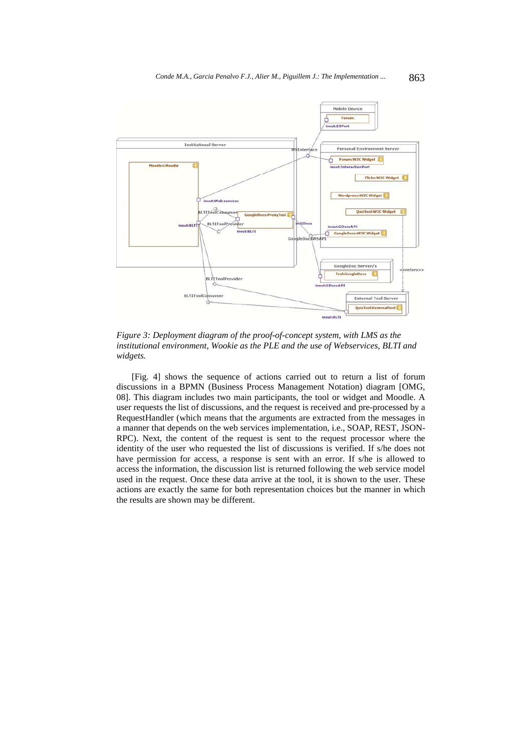

*Figure 3: Deployment diagram of the proof-of-concept system, with LMS as the institutional environment, Wookie as the PLE and the use of Webservices, BLTI and widgets.* 

[Fig. 4] shows the sequence of actions carried out to return a list of forum discussions in a BPMN (Business Process Management Notation) diagram [OMG, 08]. This diagram includes two main participants, the tool or widget and Moodle. A user requests the list of discussions, and the request is received and pre-processed by a RequestHandler (which means that the arguments are extracted from the messages in a manner that depends on the web services implementation, i.e., SOAP, REST, JSON-RPC). Next, the content of the request is sent to the request processor where the identity of the user who requested the list of discussions is verified. If s/he does not have permission for access, a response is sent with an error. If s/he is allowed to access the information, the discussion list is returned following the web service model used in the request. Once these data arrive at the tool, it is shown to the user. These actions are exactly the same for both representation choices but the manner in which the results are shown may be different.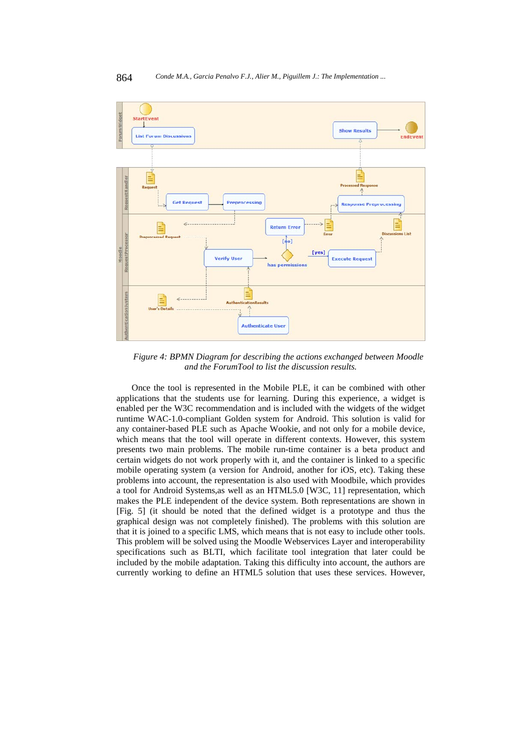

*Figure 4: BPMN Diagram for describing the actions exchanged between Moodle and the ForumTool to list the discussion results.* 

Once the tool is represented in the Mobile PLE, it can be combined with other applications that the students use for learning. During this experience, a widget is enabled per the W3C recommendation and is included with the widgets of the widget runtime WAC-1.0-compliant Golden system for Android. This solution is valid for any container-based PLE such as Apache Wookie, and not only for a mobile device, which means that the tool will operate in different contexts. However, this system presents two main problems. The mobile run-time container is a beta product and certain widgets do not work properly with it, and the container is linked to a specific mobile operating system (a version for Android, another for iOS, etc). Taking these problems into account, the representation is also used with Moodbile, which provides a tool for Android Systems,as well as an HTML5.0 [W3C, 11] representation, which makes the PLE independent of the device system. Both representations are shown in [Fig. 5] (it should be noted that the defined widget is a prototype and thus the graphical design was not completely finished). The problems with this solution are that it is joined to a specific LMS, which means that is not easy to include other tools. This problem will be solved using the Moodle Webservices Layer and interoperability specifications such as BLTI, which facilitate tool integration that later could be included by the mobile adaptation. Taking this difficulty into account, the authors are currently working to define an HTML5 solution that uses these services. However,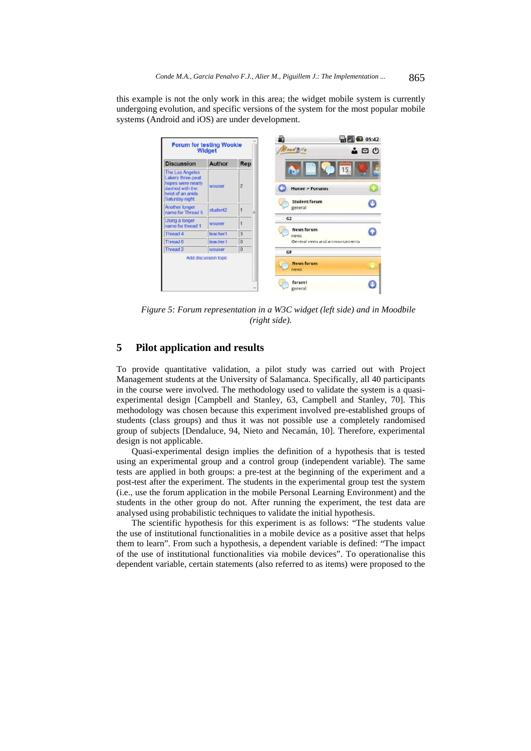this example is not the only work in this area; the widget mobile system is currently undergoing evolution, and specific versions of the system for the most popular mobile systems (Android and iOS) are under development.

| <b>Discussion</b>                                                                                                           | <b>Author</b>        | Rep            |                                                       |  |
|-----------------------------------------------------------------------------------------------------------------------------|----------------------|----------------|-------------------------------------------------------|--|
| <b>The Los Angeles</b><br>Lakers three-peat<br>hopes were nearly<br>dashed with the<br>twist of an ankle<br>Saturday night. | wsuser               | $\overline{2}$ | 15<br><b>Home &gt; Forums</b><br><b>Student forum</b> |  |
| Another longer<br>name for Thread 5                                                                                         | student2             |                | general                                               |  |
| Using a longer<br>name for thread 1                                                                                         | wsuser               |                | G <sub>2</sub>                                        |  |
| Thread 4                                                                                                                    | teacher1             | $\overline{3}$ | <b>News forum</b><br>news                             |  |
| Thread 6                                                                                                                    | teacher1             | $\Omega$       | General news and announcements                        |  |
| Thread 2                                                                                                                    | wsuser               | 0              | GP                                                    |  |
|                                                                                                                             | Add discussion topic |                | <b>News forum</b><br>news                             |  |
|                                                                                                                             |                      |                | forum1<br>general                                     |  |

*Figure 5: Forum representation in a W3C widget (left side) and in Moodbile (right side).* 

# **5 Pilot application and results**

To provide quantitative validation, a pilot study was carried out with Project Management students at the University of Salamanca. Specifically, all 40 participants in the course were involved. The methodology used to validate the system is a quasiexperimental design [Campbell and Stanley, 63, Campbell and Stanley, 70]. This methodology was chosen because this experiment involved pre-established groups of students (class groups) and thus it was not possible use a completely randomised group of subjects [Dendaluce, 94, Nieto and Necamán, 10]. Therefore, experimental design is not applicable.

Quasi-experimental design implies the definition of a hypothesis that is tested using an experimental group and a control group (independent variable). The same tests are applied in both groups: a pre-test at the beginning of the experiment and a post-test after the experiment. The students in the experimental group test the system (i.e., use the forum application in the mobile Personal Learning Environment) and the students in the other group do not. After running the experiment, the test data are analysed using probabilistic techniques to validate the initial hypothesis.

The scientific hypothesis for this experiment is as follows: "The students value the use of institutional functionalities in a mobile device as a positive asset that helps them to learn". From such a hypothesis, a dependent variable is defined: "The impact of the use of institutional functionalities via mobile devices". To operationalise this dependent variable, certain statements (also referred to as items) were proposed to the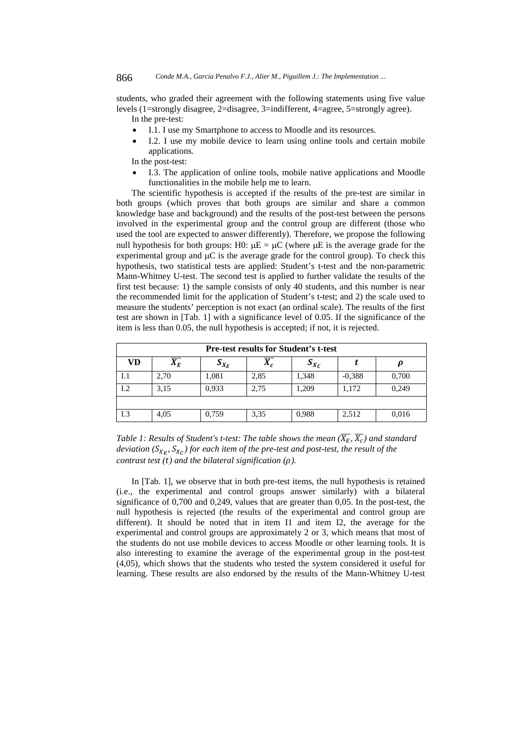students, who graded their agreement with the following statements using five value levels (1=strongly disagree, 2=disagree, 3=indifferent, 4=agree, 5=strongly agree).

In the pre-test:

- I.1. I use my Smartphone to access to Moodle and its resources.
- I.2. I use my mobile device to learn using online tools and certain mobile applications.

In the post-test:

 I.3. The application of online tools, mobile native applications and Moodle functionalities in the mobile help me to learn.

The scientific hypothesis is accepted if the results of the pre-test are similar in both groups (which proves that both groups are similar and share a common knowledge base and background) and the results of the post-test between the persons involved in the experimental group and the control group are different (those who used the tool are expected to answer differently). Therefore, we propose the following null hypothesis for both groups: H0:  $\mu E = \mu C$  (where  $\mu E$  is the average grade for the experimental group and  $\mu$ C is the average grade for the control group). To check this hypothesis, two statistical tests are applied: Student's t-test and the non-parametric Mann-Whitney U-test. The second test is applied to further validate the results of the first test because: 1) the sample consists of only 40 students, and this number is near the recommended limit for the application of Student's t-test; and 2) the scale used to measure the students' perception is not exact (an ordinal scale). The results of the first test are shown in [Tab. 1] with a significance level of 0.05. If the significance of the item is less than 0.05, the null hypothesis is accepted; if not, it is rejected.

| <b>Pre-test results for Student's t-test</b> |                  |           |       |                    |          |       |  |
|----------------------------------------------|------------------|-----------|-------|--------------------|----------|-------|--|
| VD                                           | $\overline{X_E}$ | $S_{X_E}$ | $X_c$ | $\mathbf{v}_{X_C}$ |          |       |  |
| I.1                                          | 2,70             | 1,081     | 2,85  | 1,348              | $-0.388$ | 0,700 |  |
| 1.2                                          | 3,15             | 0,933     | 2,75  | 1,209              | 1,172    | 0,249 |  |
|                                              |                  |           |       |                    |          |       |  |
| I.3                                          | 4,05             | 0,759     | 3,35  | 0,988              | 2,512    | 0,016 |  |

*Table 1: Results of Student's t-test: The table shows the mean*  $(\overline{X_E}, \overline{X_C})$  and standard *deviation* ( $S_{X_F}$ ,  $S_{X_C}$ ) for each item of the pre-test and post-test, the result of the *contrast test (t) and the bilateral signification (* $\rho$ *).* 

In [Tab. 1], we observe that in both pre-test items, the null hypothesis is retained (i.e., the experimental and control groups answer similarly) with a bilateral significance of 0,700 and 0,249, values that are greater than 0,05. In the post-test, the null hypothesis is rejected (the results of the experimental and control group are different). It should be noted that in item I1 and item I2, the average for the experimental and control groups are approximately 2 or 3, which means that most of the students do not use mobile devices to access Moodle or other learning tools. It is also interesting to examine the average of the experimental group in the post-test (4,05), which shows that the students who tested the system considered it useful for learning. These results are also endorsed by the results of the Mann-Whitney U-test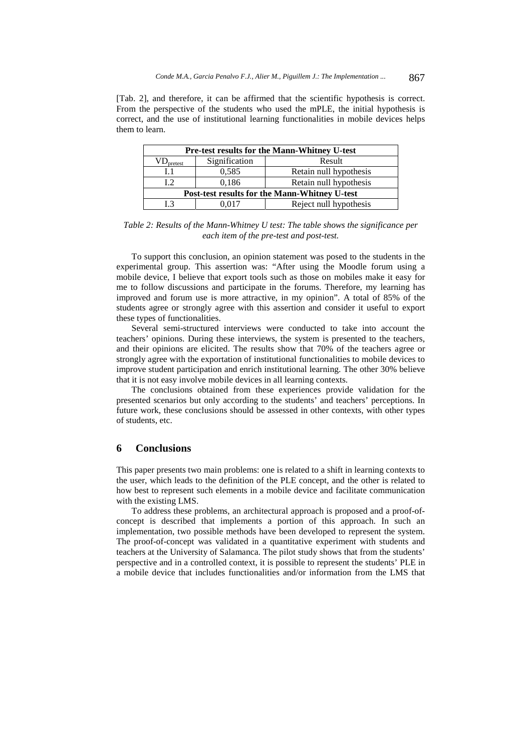[Tab. 2], and therefore, it can be affirmed that the scientific hypothesis is correct. From the perspective of the students who used the mPLE, the initial hypothesis is correct, and the use of institutional learning functionalities in mobile devices helps them to learn.

| <b>Pre-test results for the Mann-Whitney U-test</b> |               |                        |  |  |  |  |  |
|-----------------------------------------------------|---------------|------------------------|--|--|--|--|--|
| $VD_{\text{pretest}}$                               | Signification | Result                 |  |  |  |  |  |
| L1                                                  | 0,585         | Retain null hypothesis |  |  |  |  |  |
| 12                                                  | 0,186         | Retain null hypothesis |  |  |  |  |  |
| Post-test results for the Mann-Whitney U-test       |               |                        |  |  |  |  |  |
| I 3                                                 | 0.017         | Reject null hypothesis |  |  |  |  |  |

*Table 2: Results of the Mann-Whitney U test: The table shows the significance per each item of the pre-test and post-test.* 

To support this conclusion, an opinion statement was posed to the students in the experimental group. This assertion was: "After using the Moodle forum using a mobile device, I believe that export tools such as those on mobiles make it easy for me to follow discussions and participate in the forums. Therefore, my learning has improved and forum use is more attractive, in my opinion". A total of 85% of the students agree or strongly agree with this assertion and consider it useful to export these types of functionalities.

Several semi-structured interviews were conducted to take into account the teachers' opinions. During these interviews, the system is presented to the teachers, and their opinions are elicited. The results show that 70% of the teachers agree or strongly agree with the exportation of institutional functionalities to mobile devices to improve student participation and enrich institutional learning. The other 30% believe that it is not easy involve mobile devices in all learning contexts.

The conclusions obtained from these experiences provide validation for the presented scenarios but only according to the students' and teachers' perceptions. In future work, these conclusions should be assessed in other contexts, with other types of students, etc.

#### **6 Conclusions**

This paper presents two main problems: one is related to a shift in learning contexts to the user, which leads to the definition of the PLE concept, and the other is related to how best to represent such elements in a mobile device and facilitate communication with the existing LMS.

To address these problems, an architectural approach is proposed and a proof-ofconcept is described that implements a portion of this approach. In such an implementation, two possible methods have been developed to represent the system. The proof-of-concept was validated in a quantitative experiment with students and teachers at the University of Salamanca. The pilot study shows that from the students' perspective and in a controlled context, it is possible to represent the students' PLE in a mobile device that includes functionalities and/or information from the LMS that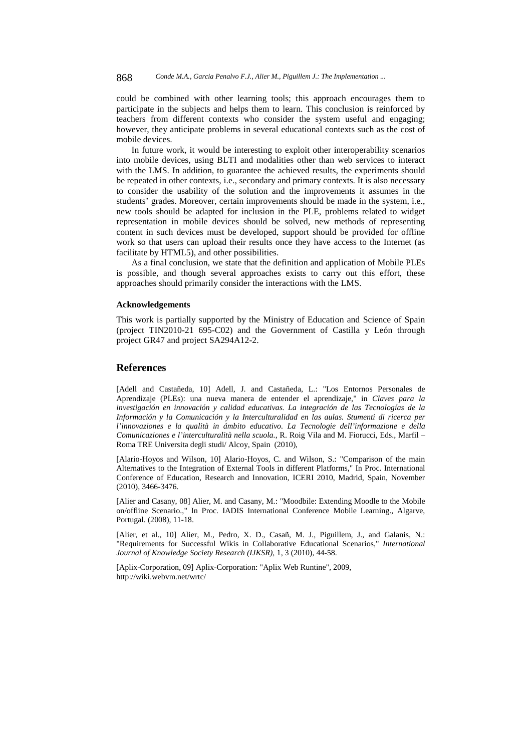could be combined with other learning tools; this approach encourages them to participate in the subjects and helps them to learn. This conclusion is reinforced by teachers from different contexts who consider the system useful and engaging; however, they anticipate problems in several educational contexts such as the cost of mobile devices.

In future work, it would be interesting to exploit other interoperability scenarios into mobile devices, using BLTI and modalities other than web services to interact with the LMS. In addition, to guarantee the achieved results, the experiments should be repeated in other contexts, i.e., secondary and primary contexts. It is also necessary to consider the usability of the solution and the improvements it assumes in the students' grades. Moreover, certain improvements should be made in the system, i.e., new tools should be adapted for inclusion in the PLE, problems related to widget representation in mobile devices should be solved, new methods of representing content in such devices must be developed, support should be provided for offline work so that users can upload their results once they have access to the Internet (as facilitate by HTML5), and other possibilities.

As a final conclusion, we state that the definition and application of Mobile PLEs is possible, and though several approaches exists to carry out this effort, these approaches should primarily consider the interactions with the LMS.

#### **Acknowledgements**

This work is partially supported by the Ministry of Education and Science of Spain (project TIN2010-21 695-C02) and the Government of Castilla y León through project GR47 and project SA294A12-2.

### **References**

[Adell and Castañeda, 10] Adell, J. and Castañeda, L.: "Los Entornos Personales de Aprendizaje (PLEs): una nueva manera de entender el aprendizaje," in *Claves para la investigación en innovación y calidad educativas. La integración de las Tecnologías de la Información y la Comunicación y la Interculturalidad en las aulas. Stumenti di ricerca per l'innovaziones e la qualità in ámbito educativo. La Tecnologie dell'informazione e della Comunicaziones e l'interculturalità nella scuola.*, R. Roig Vila and M. Fiorucci, Eds., Marfil – Roma TRE Universita degli studi/ Alcoy, Spain (2010),

[Alario-Hoyos and Wilson, 10] Alario-Hoyos, C. and Wilson, S.: "Comparison of the main Alternatives to the Integration of External Tools in different Platforms," In Proc. International Conference of Education, Research and Innovation, ICERI 2010, Madrid, Spain, November (2010), 3466-3476.

[Alier and Casany, 08] Alier, M. and Casany, M.: "Moodbile: Extending Moodle to the Mobile on/offline Scenario.," In Proc. IADIS International Conference Mobile Learning., Algarve, Portugal. (2008), 11-18.

[Alier, et al., 10] Alier, M., Pedro, X. D., Casañ, M. J., Piguillem, J., and Galanis, N.: "Requirements for Successful Wikis in Collaborative Educational Scenarios," *International Journal of Knowledge Society Research (IJKSR)*, 1, 3 (2010), 44-58.

[Aplix-Corporation, 09] Aplix-Corporation: "Aplix Web Runtine", 2009, http://wiki.webvm.net/wrtc/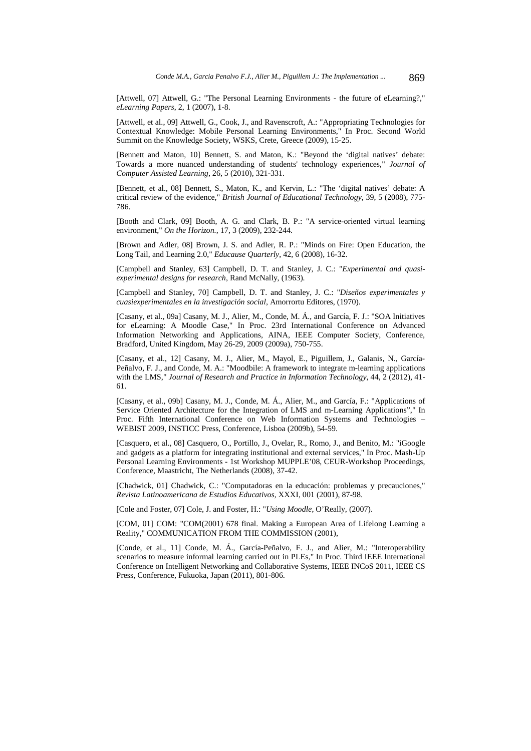[Attwell, 07] Attwell, G.: "The Personal Learning Environments - the future of eLearning?," *eLearning Papers*, 2, 1 (2007), 1-8.

[Attwell, et al., 09] Attwell, G., Cook, J., and Ravenscroft, A.: "Appropriating Technologies for Contextual Knowledge: Mobile Personal Learning Environments," In Proc. Second World Summit on the Knowledge Society, WSKS, Crete, Greece (2009), 15-25.

[Bennett and Maton, 10] Bennett, S. and Maton, K.: "Beyond the 'digital natives' debate: Towards a more nuanced understanding of students' technology experiences," *Journal of Computer Assisted Learning*, 26, 5 (2010), 321-331.

[Bennett, et al., 08] Bennett, S., Maton, K., and Kervin, L.: "The 'digital natives' debate: A critical review of the evidence," *British Journal of Educational Technology*, 39, 5 (2008), 775- 786.

[Booth and Clark, 09] Booth, A. G. and Clark, B. P.: "A service-oriented virtual learning environment," *On the Horizon.*, 17, 3 (2009), 232-244.

[Brown and Adler, 08] Brown, J. S. and Adler, R. P.: "Minds on Fire: Open Education, the Long Tail, and Learning 2.0," *Educause Quarterly*, 42, 6 (2008), 16-32.

[Campbell and Stanley, 63] Campbell, D. T. and Stanley, J. C.: "*Experimental and quasiexperimental designs for research*, Rand McNally, (1963).

[Campbell and Stanley, 70] Campbell, D. T. and Stanley, J. C.: "*Diseños experimentales y cuasiexperimentales en la investigación social*, Amorrortu Editores, (1970).

[Casany, et al., 09a] Casany, M. J., Alier, M., Conde, M. Á., and García, F. J.: "SOA Initiatives for eLearning: A Moodle Case," In Proc. 23rd International Conference on Advanced Information Networking and Applications, AINA, IEEE Computer Society, Conference, Bradford, United Kingdom, May 26-29, 2009 (2009a), 750-755.

[Casany, et al., 12] Casany, M. J., Alier, M., Mayol, E., Piguillem, J., Galanis, N., García-Peñalvo, F. J., and Conde, M. A.: "Moodbile: A framework to integrate m-learning applications with the LMS," *Journal of Research and Practice in Information Technology*, 44, 2 (2012), 41- 61.

[Casany, et al., 09b] Casany, M. J., Conde, M. Á., Alier, M., and García, F.: "Applications of Service Oriented Architecture for the Integration of LMS and m-Learning Applications"," In Proc. Fifth International Conference on Web Information Systems and Technologies – WEBIST 2009, INSTICC Press, Conference, Lisboa (2009b), 54-59.

[Casquero, et al., 08] Casquero, O., Portillo, J., Ovelar, R., Romo, J., and Benito, M.: "iGoogle and gadgets as a platform for integrating institutional and external services," In Proc. Mash-Up Personal Learning Environments - 1st Workshop MUPPLE'08, CEUR-Workshop Proceedings, Conference, Maastricht, The Netherlands (2008), 37-42.

[Chadwick, 01] Chadwick, C.: "Computadoras en la educación: problemas y precauciones," *Revista Latinoamericana de Estudios Educativos*, XXXI, 001 (2001), 87-98.

[Cole and Foster, 07] Cole, J. and Foster, H.: "*Using Moodle*, O'Really, (2007).

[COM, 01] COM: "COM(2001) 678 final. Making a European Area of Lifelong Learning a Reality," COMMUNICATION FROM THE COMMISSION (2001),

[Conde, et al., 11] Conde, M. Á., García-Peñalvo, F. J., and Alier, M.: "Interoperability scenarios to measure informal learning carried out in PLEs," In Proc. Third IEEE International Conference on Intelligent Networking and Collaborative Systems, IEEE INCoS 2011, IEEE CS Press, Conference, Fukuoka, Japan (2011), 801-806.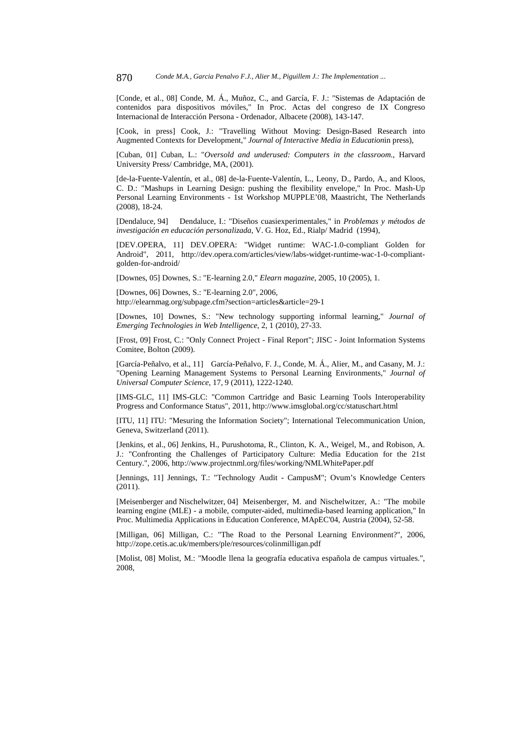[Conde, et al., 08] Conde, M. Á., Muñoz, C., and García, F. J.: "Sistemas de Adaptación de contenidos para dispositivos móviles," In Proc. Actas del congreso de IX Congreso Internacional de Interacción Persona - Ordenador, Albacete (2008), 143-147.

[Cook, in press] Cook, J.: "Travelling Without Moving: Design-Based Research into Augmented Contexts for Development," *Journal of Interactive Media in Education*in press),

[Cuban, 01] Cuban, L.: "*Oversold and underused: Computers in the classroom.*, Harvard University Press/ Cambridge, MA, (2001).

[de-la-Fuente-Valentín, et al., 08] de-la-Fuente-Valentín, L., Leony, D., Pardo, A., and Kloos, C. D.: "Mashups in Learning Design: pushing the flexibility envelope," In Proc. Mash-Up Personal Learning Environments - 1st Workshop MUPPLE'08, Maastricht, The Netherlands (2008), 18-24.

[Dendaluce, 94] Dendaluce, I.: "Diseños cuasiexperimentales," in *Problemas y métodos de investigación en educación personalizada*, V. G. Hoz, Ed., Rialp/ Madrid (1994),

[DEV.OPERA, 11] DEV.OPERA: "Widget runtime: WAC-1.0-compliant Golden for Android", 2011, http://dev.opera.com/articles/view/labs-widget-runtime-wac-1-0-compliantgolden-for-android/

[Downes, 05] Downes, S.: "E-learning 2.0," *Elearn magazine*, 2005, 10 (2005), 1.

[Downes, 06] Downes, S.: "E-learning 2.0", 2006, http://elearnmag.org/subpage.cfm?section=articles&article=29-1

[Downes, 10] Downes, S.: "New technology supporting informal learning," *Journal of Emerging Technologies in Web Intelligence*, 2, 1 (2010), 27-33.

[Frost, 09] Frost, C.: "Only Connect Project - Final Report"; JISC - Joint Information Systems Comitee, Bolton (2009).

[García-Peñalvo, et al., 11] García-Peñalvo, F. J., Conde, M. Á., Alier, M., and Casany, M. J.: "Opening Learning Management Systems to Personal Learning Environments," *Journal of Universal Computer Science*, 17, 9 (2011), 1222-1240.

[IMS-GLC, 11] IMS-GLC: "Common Cartridge and Basic Learning Tools Interoperability Progress and Conformance Status", 2011, http://www.imsglobal.org/cc/statuschart.html

[ITU, 11] ITU: "Mesuring the Information Society"; International Telecommunication Union, Geneva, Switzerland (2011).

[Jenkins, et al., 06] Jenkins, H., Purushotoma, R., Clinton, K. A., Weigel, M., and Robison, A. J.: "Confronting the Challenges of Participatory Culture: Media Education for the 21st Century.", 2006, http://www.projectnml.org/files/working/NMLWhitePaper.pdf

[Jennings, 11] Jennings, T.: "Technology Audit - CampusM"; Ovum's Knowledge Centers (2011).

[Meisenberger and Nischelwitzer, 04] Meisenberger, M. and Nischelwitzer, A.: "The mobile learning engine (MLE) - a mobile, computer-aided, multimedia-based learning application," In Proc. Multimedia Applications in Education Conference, MApEC'04, Austria (2004), 52-58.

[Milligan, 06] Milligan, C.: "The Road to the Personal Learning Environment?", 2006, http://zope.cetis.ac.uk/members/ple/resources/colinmilligan.pdf

[Molist, 08] Molist, M.: "Moodle llena la geografía educativa española de campus virtuales.", 2008,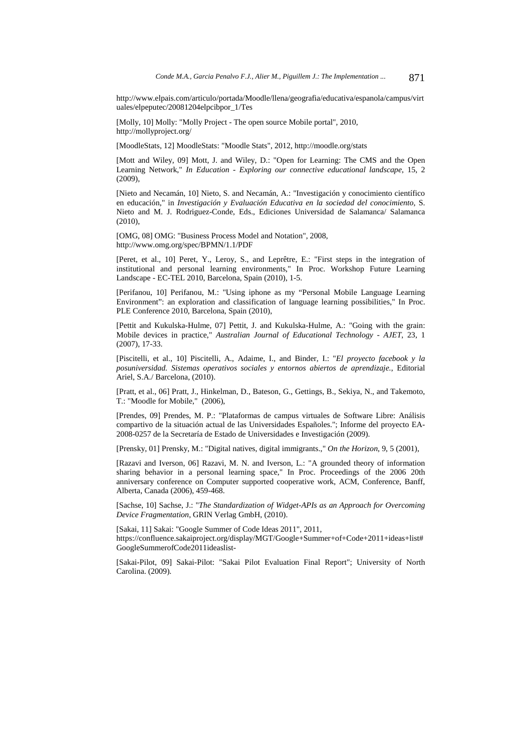http://www.elpais.com/articulo/portada/Moodle/llena/geografia/educativa/espanola/campus/virt uales/elpeputec/20081204elpcibpor\_1/Tes

[Molly, 10] Molly: "Molly Project - The open source Mobile portal", 2010, http://mollyproject.org/

[MoodleStats, 12] MoodleStats: "Moodle Stats", 2012, http://moodle.org/stats

[Mott and Wiley, 09] Mott, J. and Wiley, D.: "Open for Learning: The CMS and the Open Learning Network," *In Education - Exploring our connective educational landscape*, 15, 2  $(2009)$ 

[Nieto and Necamán, 10] Nieto, S. and Necamán, A.: "Investigación y conocimiento científico en educación," in *Investigación y Evaluación Educativa en la sociedad del conocimiento*, S. Nieto and M. J. Rodriguez-Conde, Eds., Ediciones Universidad de Salamanca/ Salamanca (2010),

[OMG, 08] OMG: "Business Process Model and Notation", 2008, http://www.omg.org/spec/BPMN/1.1/PDF

[Peret, et al., 10] Peret, Y., Leroy, S., and Leprêtre, E.: "First steps in the integration of institutional and personal learning environments," In Proc. Workshop Future Learning Landscape - EC-TEL 2010, Barcelona, Spain (2010), 1-5.

[Perifanou, 10] Perifanou, M.: "Using iphone as my "Personal Mobile Language Learning Environment": an exploration and classification of language learning possibilities," In Proc. PLE Conference 2010, Barcelona, Spain (2010),

[Pettit and Kukulska-Hulme, 07] Pettit, J. and Kukulska-Hulme, A.: "Going with the grain: Mobile devices in practice," *Australian Journal of Educational Technology - AJET*, 23, 1 (2007), 17-33.

[Piscitelli, et al., 10] Piscitelli, A., Adaime, I., and Binder, I.: "*El proyecto facebook y la posuniversidad. Sistemas operativos sociales y entornos abiertos de aprendizaje.*, Editorial Ariel, S.A./ Barcelona, (2010).

[Pratt, et al., 06] Pratt, J., Hinkelman, D., Bateson, G., Gettings, B., Sekiya, N., and Takemoto, T.: "Moodle for Mobile," (2006),

[Prendes, 09] Prendes, M. P.: "Plataformas de campus virtuales de Software Libre: Análisis compartivo de la situación actual de las Universidades Españoles."; Informe del proyecto EA-2008-0257 de la Secretaría de Estado de Universidades e Investigación (2009).

[Prensky, 01] Prensky, M.: "Digital natives, digital immigrants.," *On the Horizon*, 9, 5 (2001),

[Razavi and Iverson, 06] Razavi, M. N. and Iverson, L.: "A grounded theory of information sharing behavior in a personal learning space," In Proc. Proceedings of the 2006 20th anniversary conference on Computer supported cooperative work, ACM, Conference, Banff, Alberta, Canada (2006), 459-468.

[Sachse, 10] Sachse, J.: "*The Standardization of Widget-APIs as an Approach for Overcoming Device Fragmentation*, GRIN Verlag GmbH, (2010).

[Sakai, 11] Sakai: "Google Summer of Code Ideas 2011", 2011, https://confluence.sakaiproject.org/display/MGT/Google+Summer+of+Code+2011+ideas+list# GoogleSummerofCode2011ideaslist-

[Sakai-Pilot, 09] Sakai-Pilot: "Sakai Pilot Evaluation Final Report"; University of North Carolina. (2009).